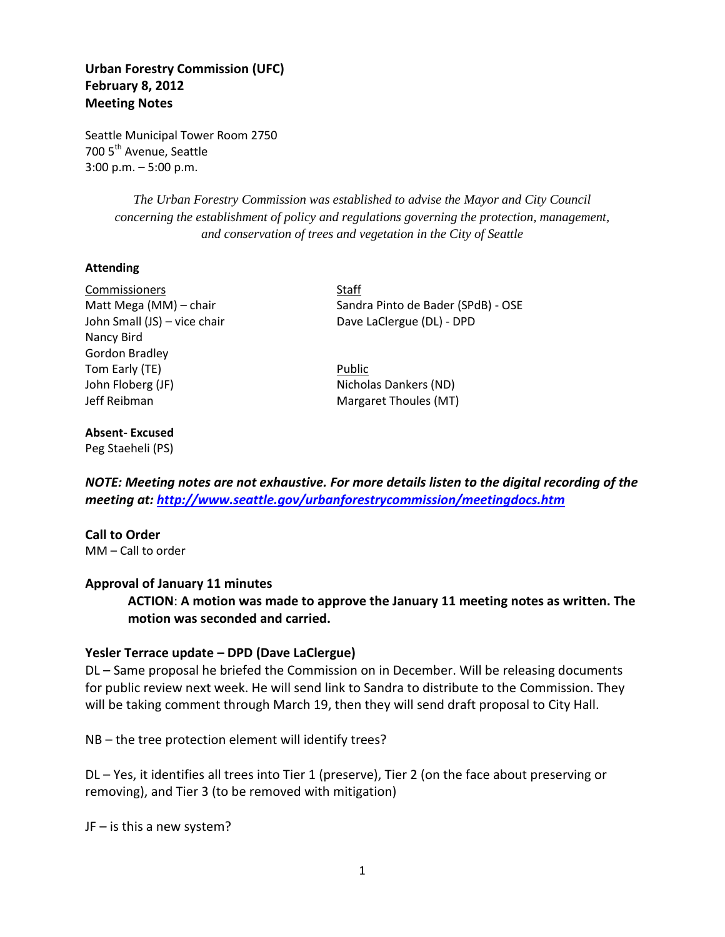# **Urban Forestry Commission (UFC) February 8, 2012 Meeting Notes**

Seattle Municipal Tower Room 2750 700 5<sup>th</sup> Avenue, Seattle 3:00 p.m. – 5:00 p.m.

> *The Urban Forestry Commission was established to advise the Mayor and City Council concerning the establishment of policy and regulations governing the protection, management, and conservation of trees and vegetation in the City of Seattle*

#### **Attending**

Commissioners Staff John Small (JS) – vice chair Dave LaClergue (DL) - DPD Nancy Bird Gordon Bradley Tom Early (TE) and the Contract of the Public Public John Floberg (JF) Nicholas Dankers (ND) Jeff Reibman Margaret Thoules (MT)

Matt Mega (MM) – chair Sandra Pinto de Bader (SPdB) - OSE

### **Absent- Excused**

Peg Staeheli (PS)

*NOTE: Meeting notes are not exhaustive. For more details listen to the digital recording of the meeting at:<http://www.seattle.gov/urbanforestrycommission/meetingdocs.htm>*

**Call to Order** MM – Call to order

### **Approval of January 11 minutes**

**ACTION**: **A motion was made to approve the January 11 meeting notes as written. The motion was seconded and carried.** 

#### **Yesler Terrace update – DPD (Dave LaClergue)**

DL – Same proposal he briefed the Commission on in December. Will be releasing documents for public review next week. He will send link to Sandra to distribute to the Commission. They will be taking comment through March 19, then they will send draft proposal to City Hall.

NB – the tree protection element will identify trees?

DL – Yes, it identifies all trees into Tier 1 (preserve), Tier 2 (on the face about preserving or removing), and Tier 3 (to be removed with mitigation)

JF – is this a new system?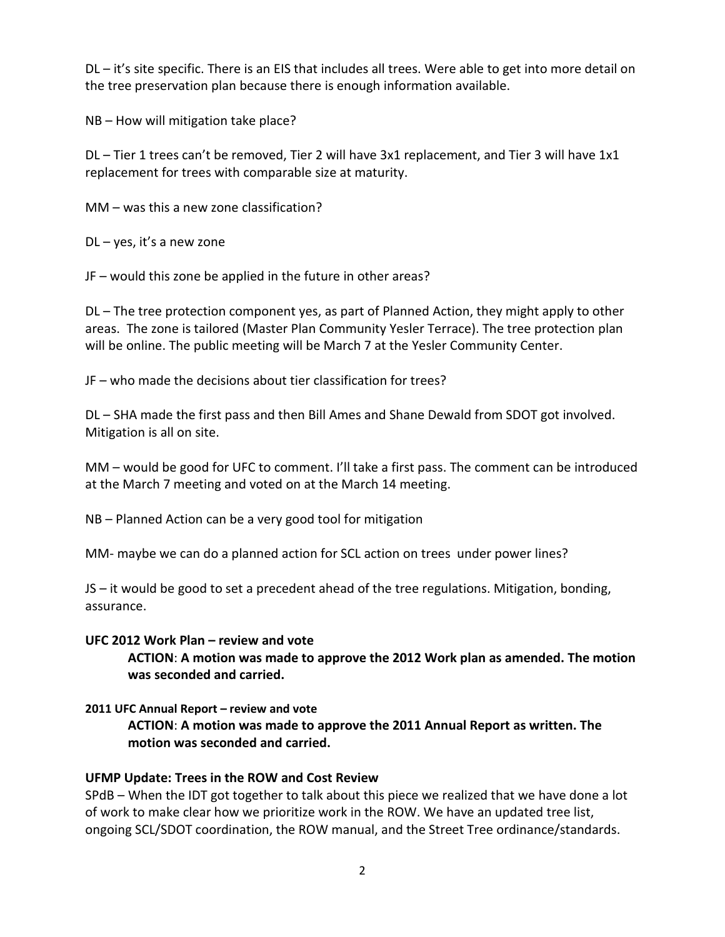DL – it's site specific. There is an EIS that includes all trees. Were able to get into more detail on the tree preservation plan because there is enough information available.

NB – How will mitigation take place?

DL – Tier 1 trees can't be removed, Tier 2 will have 3x1 replacement, and Tier 3 will have 1x1 replacement for trees with comparable size at maturity.

MM – was this a new zone classification?

DL – yes, it's a new zone

JF – would this zone be applied in the future in other areas?

DL – The tree protection component yes, as part of Planned Action, they might apply to other areas. The zone is tailored (Master Plan Community Yesler Terrace). The tree protection plan will be online. The public meeting will be March 7 at the Yesler Community Center.

JF – who made the decisions about tier classification for trees?

DL – SHA made the first pass and then Bill Ames and Shane Dewald from SDOT got involved. Mitigation is all on site.

MM – would be good for UFC to comment. I'll take a first pass. The comment can be introduced at the March 7 meeting and voted on at the March 14 meeting.

NB – Planned Action can be a very good tool for mitigation

MM- maybe we can do a planned action for SCL action on trees under power lines?

JS – it would be good to set a precedent ahead of the tree regulations. Mitigation, bonding, assurance.

### **UFC 2012 Work Plan – review and vote**

**ACTION**: **A motion was made to approve the 2012 Work plan as amended. The motion was seconded and carried.** 

### **2011 UFC Annual Report – review and vote**

**ACTION**: **A motion was made to approve the 2011 Annual Report as written. The motion was seconded and carried.** 

### **UFMP Update: Trees in the ROW and Cost Review**

SPdB – When the IDT got together to talk about this piece we realized that we have done a lot of work to make clear how we prioritize work in the ROW. We have an updated tree list, ongoing SCL/SDOT coordination, the ROW manual, and the Street Tree ordinance/standards.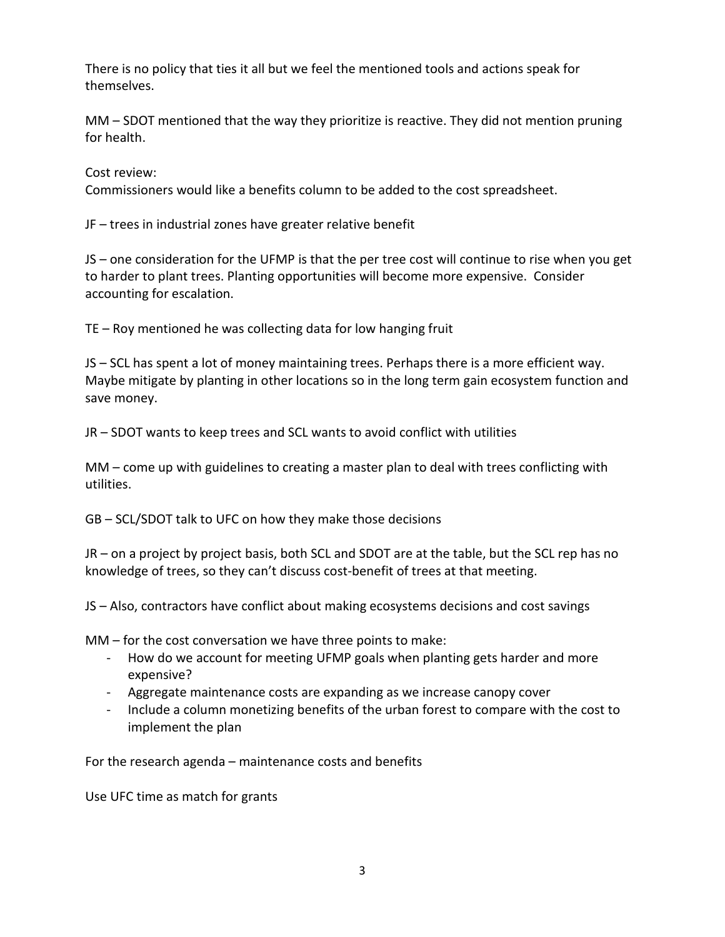There is no policy that ties it all but we feel the mentioned tools and actions speak for themselves.

MM – SDOT mentioned that the way they prioritize is reactive. They did not mention pruning for health.

Cost review:

Commissioners would like a benefits column to be added to the cost spreadsheet.

JF – trees in industrial zones have greater relative benefit

JS – one consideration for the UFMP is that the per tree cost will continue to rise when you get to harder to plant trees. Planting opportunities will become more expensive. Consider accounting for escalation.

TE – Roy mentioned he was collecting data for low hanging fruit

JS – SCL has spent a lot of money maintaining trees. Perhaps there is a more efficient way. Maybe mitigate by planting in other locations so in the long term gain ecosystem function and save money.

JR – SDOT wants to keep trees and SCL wants to avoid conflict with utilities

MM – come up with guidelines to creating a master plan to deal with trees conflicting with utilities.

GB – SCL/SDOT talk to UFC on how they make those decisions

JR – on a project by project basis, both SCL and SDOT are at the table, but the SCL rep has no knowledge of trees, so they can't discuss cost-benefit of trees at that meeting.

JS – Also, contractors have conflict about making ecosystems decisions and cost savings

MM – for the cost conversation we have three points to make:

- How do we account for meeting UFMP goals when planting gets harder and more expensive?
- Aggregate maintenance costs are expanding as we increase canopy cover
- Include a column monetizing benefits of the urban forest to compare with the cost to implement the plan

For the research agenda – maintenance costs and benefits

Use UFC time as match for grants